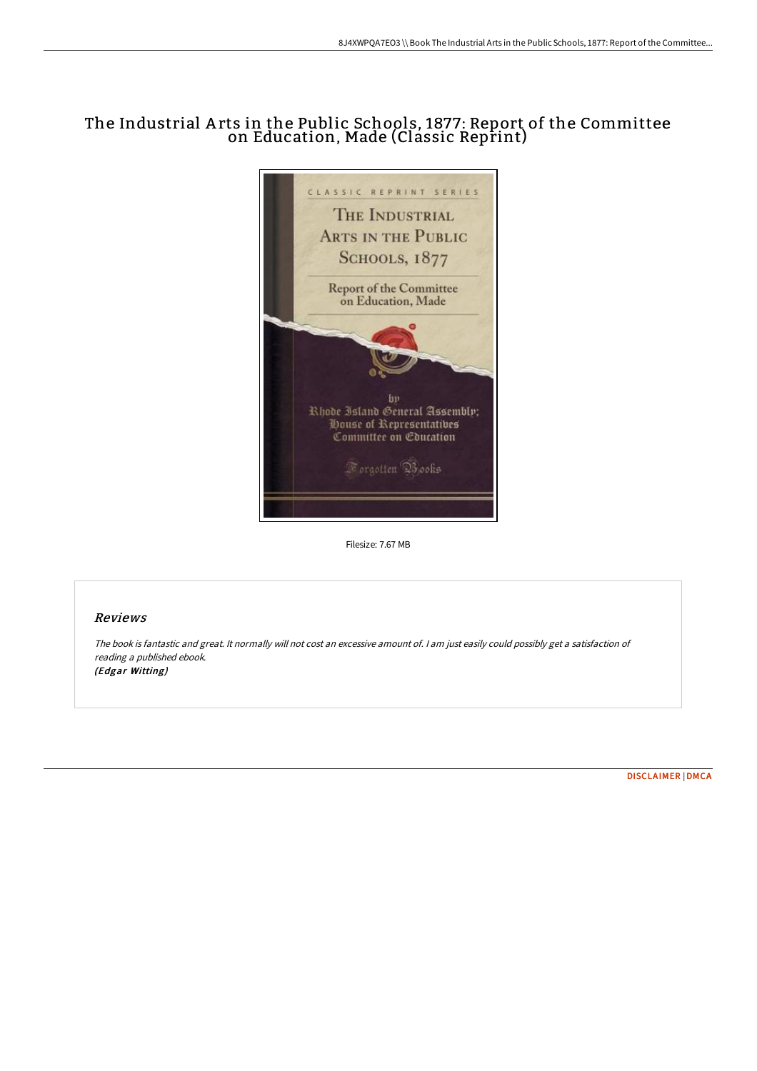## The Industrial A rts in the Public Schools, 1877: Report of the Committee on Education, Made (Classic Reprint)



Filesize: 7.67 MB

## Reviews

The book is fantastic and great. It normally will not cost an excessive amount of. <sup>I</sup> am just easily could possibly get <sup>a</sup> satisfaction of reading <sup>a</sup> published ebook. (Edgar Witting)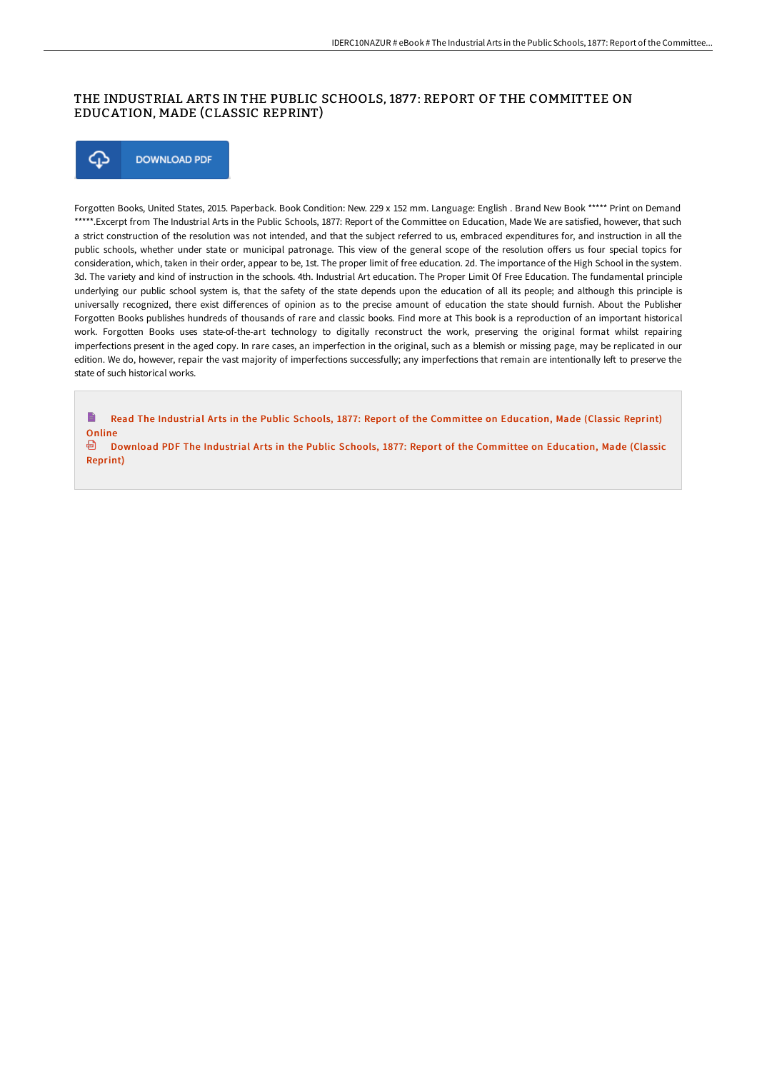## THE INDUSTRIAL ARTS IN THE PUBLIC SCHOOLS, 1877: REPORT OF THE COMMITTEE ON EDUCATION, MADE (CLASSIC REPRINT)



Forgotten Books, United States, 2015. Paperback. Book Condition: New. 229 x 152 mm. Language: English . Brand New Book \*\*\*\*\* Print on Demand \*\*\*\*\*.Excerpt from The Industrial Arts in the Public Schools, 1877: Report of the Committee on Education, Made We are satisfied, however, that such a strict construction of the resolution was not intended, and that the subject referred to us, embraced expenditures for, and instruction in all the public schools, whether under state or municipal patronage. This view of the general scope of the resolution offers us four special topics for consideration, which, taken in their order, appear to be, 1st. The proper limit of free education. 2d. The importance of the High School in the system. 3d. The variety and kind of instruction in the schools. 4th. Industrial Art education. The Proper Limit Of Free Education. The fundamental principle underlying our public school system is, that the safety of the state depends upon the education of all its people; and although this principle is universally recognized, there exist differences of opinion as to the precise amount of education the state should furnish. About the Publisher Forgotten Books publishes hundreds of thousands of rare and classic books. Find more at This book is a reproduction of an important historical work. Forgotten Books uses state-of-the-art technology to digitally reconstruct the work, preserving the original format whilst repairing imperfections present in the aged copy. In rare cases, an imperfection in the original, such as a blemish or missing page, may be replicated in our edition. We do, however, repair the vast majority of imperfections successfully; any imperfections that remain are intentionally left to preserve the state of such historical works.

 $\blacksquare$ Read The Industrial Arts in the Public Schools, 1877: Report of the [Committee](http://bookera.tech/the-industrial-arts-in-the-public-schools-1877-r.html) on Education, Made (Classic Reprint) **Online** 

**Download PDF The Industrial Arts in the Public Schools, 1877: Report of the [Committee](http://bookera.tech/the-industrial-arts-in-the-public-schools-1877-r.html) on Education, Made (Classic** Reprint)